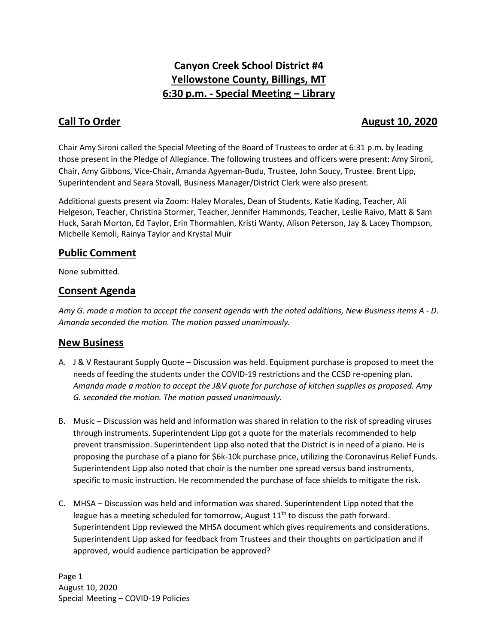# **Canyon Creek School District #4 Yellowstone County, Billings, MT 6:30 p.m. - Special Meeting – Library**

### **Call To Order Call To Order August 10, 2020**

Chair Amy Sironi called the Special Meeting of the Board of Trustees to order at 6:31 p.m. by leading those present in the Pledge of Allegiance. The following trustees and officers were present: Amy Sironi, Chair, Amy Gibbons, Vice-Chair, Amanda Agyeman-Budu, Trustee, John Soucy, Trustee. Brent Lipp, Superintendent and Seara Stovall, Business Manager/District Clerk were also present.

Additional guests present via Zoom: Haley Morales, Dean of Students, Katie Kading, Teacher, Ali Helgeson, Teacher, Christina Stormer, Teacher, Jennifer Hammonds, Teacher, Leslie Raivo, Matt & Sam Huck, Sarah Morton, Ed Taylor, Erin Thormahlen, Kristi Wanty, Alison Peterson, Jay & Lacey Thompson, Michelle Kemoli, Rainya Taylor and Krystal Muir

#### **Public Comment**

None submitted.

## **Consent Agenda**

*Amy G. made a motion to accept the consent agenda with the noted additions, New Business items A - D. Amanda seconded the motion. The motion passed unanimously.* 

#### **New Business**

- A. J & V Restaurant Supply Quote Discussion was held. Equipment purchase is proposed to meet the needs of feeding the students under the COVID-19 restrictions and the CCSD re-opening plan. *Amanda made a motion to accept the J&V quote for purchase of kitchen supplies as proposed. Amy G. seconded the motion. The motion passed unanimously.*
- B. Music Discussion was held and information was shared in relation to the risk of spreading viruses through instruments. Superintendent Lipp got a quote for the materials recommended to help prevent transmission. Superintendent Lipp also noted that the District is in need of a piano. He is proposing the purchase of a piano for \$6k-10k purchase price, utilizing the Coronavirus Relief Funds. Superintendent Lipp also noted that choir is the number one spread versus band instruments, specific to music instruction. He recommended the purchase of face shields to mitigate the risk.
- C. MHSA Discussion was held and information was shared. Superintendent Lipp noted that the league has a meeting scheduled for tomorrow, August  $11<sup>th</sup>$  to discuss the path forward. Superintendent Lipp reviewed the MHSA document which gives requirements and considerations. Superintendent Lipp asked for feedback from Trustees and their thoughts on participation and if approved, would audience participation be approved?

Page 1 August 10, 2020 Special Meeting – COVID-19 Policies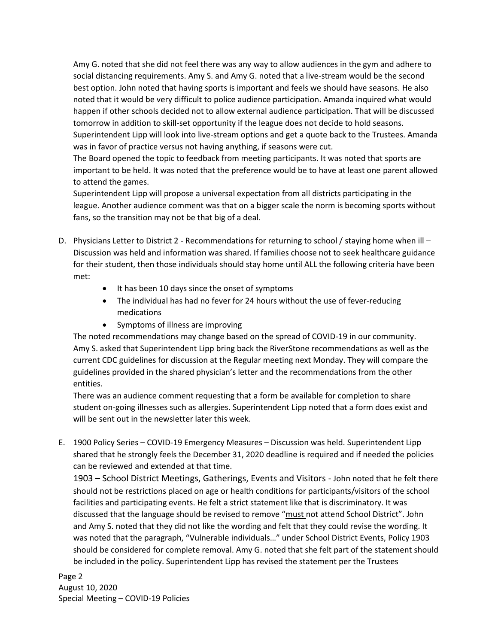Amy G. noted that she did not feel there was any way to allow audiences in the gym and adhere to social distancing requirements. Amy S. and Amy G. noted that a live-stream would be the second best option. John noted that having sports is important and feels we should have seasons. He also noted that it would be very difficult to police audience participation. Amanda inquired what would happen if other schools decided not to allow external audience participation. That will be discussed tomorrow in addition to skill-set opportunity if the league does not decide to hold seasons. Superintendent Lipp will look into live-stream options and get a quote back to the Trustees. Amanda was in favor of practice versus not having anything, if seasons were cut.

The Board opened the topic to feedback from meeting participants. It was noted that sports are important to be held. It was noted that the preference would be to have at least one parent allowed to attend the games.

Superintendent Lipp will propose a universal expectation from all districts participating in the league. Another audience comment was that on a bigger scale the norm is becoming sports without fans, so the transition may not be that big of a deal.

- D. Physicians Letter to District 2 Recommendations for returning to school / staying home when ill Discussion was held and information was shared. If families choose not to seek healthcare guidance for their student, then those individuals should stay home until ALL the following criteria have been met:
	- It has been 10 days since the onset of symptoms
	- The individual has had no fever for 24 hours without the use of fever-reducing medications
	- Symptoms of illness are improving

The noted recommendations may change based on the spread of COVID-19 in our community. Amy S. asked that Superintendent Lipp bring back the RiverStone recommendations as well as the current CDC guidelines for discussion at the Regular meeting next Monday. They will compare the guidelines provided in the shared physician's letter and the recommendations from the other entities.

There was an audience comment requesting that a form be available for completion to share student on-going illnesses such as allergies. Superintendent Lipp noted that a form does exist and will be sent out in the newsletter later this week.

E. 1900 Policy Series – COVID-19 Emergency Measures – Discussion was held. Superintendent Lipp shared that he strongly feels the December 31, 2020 deadline is required and if needed the policies can be reviewed and extended at that time.

1903 – School District Meetings, Gatherings, Events and Visitors - John noted that he felt there should not be restrictions placed on age or health conditions for participants/visitors of the school facilities and participating events. He felt a strict statement like that is discriminatory. It was discussed that the language should be revised to remove "must not attend School District". John and Amy S. noted that they did not like the wording and felt that they could revise the wording. It was noted that the paragraph, "Vulnerable individuals…" under School District Events, Policy 1903 should be considered for complete removal. Amy G. noted that she felt part of the statement should be included in the policy. Superintendent Lipp has revised the statement per the Trustees

Page 2 August 10, 2020 Special Meeting – COVID-19 Policies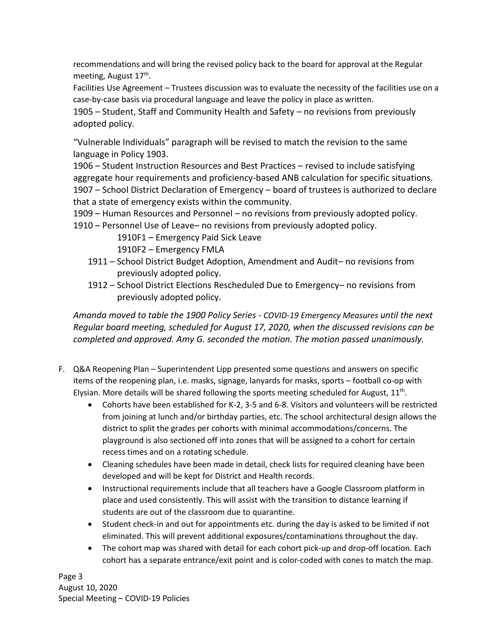recommendations and will bring the revised policy back to the board for approval at the Regular meeting, August 17<sup>th</sup>.

Facilities Use Agreement – Trustees discussion was to evaluate the necessity of the facilities use on a case-by-case basis via procedural language and leave the policy in place as written.

1905 – Student, Staff and Community Health and Safety – no revisions from previously adopted policy.

"Vulnerable Individuals" paragraph will be revised to match the revision to the same language in Policy 1903.

1906 – Student Instruction Resources and Best Practices – revised to include satisfying aggregate hour requirements and proficiency-based ANB calculation for specific situations. 1907 – School District Declaration of Emergency – board of trustees is authorized to declare that a state of emergency exists within the community.

1909 – Human Resources and Personnel – no revisions from previously adopted policy.

1910 – Personnel Use of Leave– no revisions from previously adopted policy.

1910F1 – Emergency Paid Sick Leave

1910F2 – Emergency FMLA

- 1911 School District Budget Adoption, Amendment and Audit– no revisions from previously adopted policy.
- 1912 School District Elections Rescheduled Due to Emergency– no revisions from previously adopted policy.

*Amanda moved to table the 1900 Policy Series - COVID-19 Emergency Measures until the next Regular board meeting, scheduled for August 17, 2020, when the discussed revisions can be completed and approved. Amy G. seconded the motion. The motion passed unanimously.*

- F. Q&A Reopening Plan Superintendent Lipp presented some questions and answers on specific items of the reopening plan, i.e. masks, signage, lanyards for masks, sports – football co-op with Elysian. More details will be shared following the sports meeting scheduled for August,  $11<sup>th</sup>$ .
	- Cohorts have been established for K-2, 3-5 and 6-8. Visitors and volunteers will be restricted from joining at lunch and/or birthday parties, etc. The school architectural design allows the district to split the grades per cohorts with minimal accommodations/concerns. The playground is also sectioned off into zones that will be assigned to a cohort for certain recess times and on a rotating schedule.
	- Cleaning schedules have been made in detail, check lists for required cleaning have been developed and will be kept for District and Health records.
	- Instructional requirements include that all teachers have a Google Classroom platform in place and used consistently. This will assist with the transition to distance learning if students are out of the classroom due to quarantine.
	- Student check-in and out for appointments etc. during the day is asked to be limited if not eliminated. This will prevent additional exposures/contaminations throughout the day.
	- The cohort map was shared with detail for each cohort pick-up and drop-off location. Each cohort has a separate entrance/exit point and is color-coded with cones to match the map.

Page 3 August 10, 2020 Special Meeting – COVID-19 Policies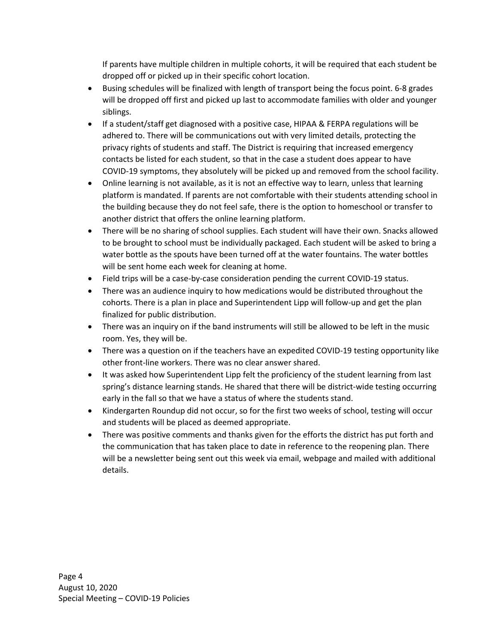If parents have multiple children in multiple cohorts, it will be required that each student be dropped off or picked up in their specific cohort location.

- Busing schedules will be finalized with length of transport being the focus point. 6-8 grades will be dropped off first and picked up last to accommodate families with older and younger siblings.
- If a student/staff get diagnosed with a positive case, HIPAA & FERPA regulations will be adhered to. There will be communications out with very limited details, protecting the privacy rights of students and staff. The District is requiring that increased emergency contacts be listed for each student, so that in the case a student does appear to have COVID-19 symptoms, they absolutely will be picked up and removed from the school facility.
- Online learning is not available, as it is not an effective way to learn, unless that learning platform is mandated. If parents are not comfortable with their students attending school in the building because they do not feel safe, there is the option to homeschool or transfer to another district that offers the online learning platform.
- There will be no sharing of school supplies. Each student will have their own. Snacks allowed to be brought to school must be individually packaged. Each student will be asked to bring a water bottle as the spouts have been turned off at the water fountains. The water bottles will be sent home each week for cleaning at home.
- Field trips will be a case-by-case consideration pending the current COVID-19 status.
- There was an audience inquiry to how medications would be distributed throughout the cohorts. There is a plan in place and Superintendent Lipp will follow-up and get the plan finalized for public distribution.
- There was an inquiry on if the band instruments will still be allowed to be left in the music room. Yes, they will be.
- There was a question on if the teachers have an expedited COVID-19 testing opportunity like other front-line workers. There was no clear answer shared.
- It was asked how Superintendent Lipp felt the proficiency of the student learning from last spring's distance learning stands. He shared that there will be district-wide testing occurring early in the fall so that we have a status of where the students stand.
- Kindergarten Roundup did not occur, so for the first two weeks of school, testing will occur and students will be placed as deemed appropriate.
- There was positive comments and thanks given for the efforts the district has put forth and the communication that has taken place to date in reference to the reopening plan. There will be a newsletter being sent out this week via email, webpage and mailed with additional details.